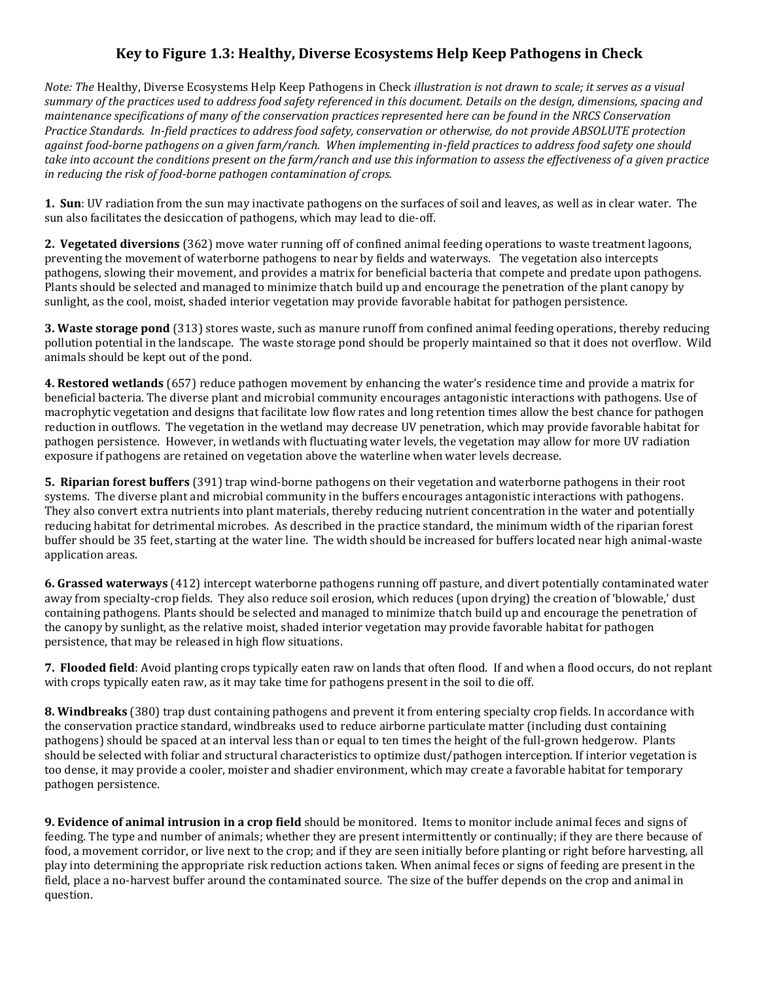## **Key to Figure 1.3: Healthy, Diverse Ecosystems Help Keep Pathogens in Check**

*Note: The* Healthy, Diverse Ecosystems Help Keep Pathogens in Check *illustration is not drawn to scale; it serves as a visual summary of the practices used to address food safety referenced in this document. Details on the design, dimensions, spacing and maintenance specifications of many of the conservation practices represented here can be found in the NRCS Conservation Practice Standards. In-field practices to address food safety, conservation or otherwise, do not provide ABSOLUTE protection against food-borne pathogens on a given farm/ranch. When implementing in-field practices to address food safety one should take into account the conditions present on the farm/ranch and use this information to assess the effectiveness of a given practice in reducing the risk of food-borne pathogen contamination of crops.* 

**1. Sun**: UV radiation from the sun may inactivate pathogens on the surfaces of soil and leaves, as well as in clear water. The sun also facilitates the desiccation of pathogens, which may lead to die-off.

**2. Vegetated diversions** (362) move water running off of confined animal feeding operations to waste treatment lagoons, preventing the movement of waterborne pathogens to near by fields and waterways. The vegetation also intercepts pathogens, slowing their movement, and provides a matrix for beneficial bacteria that compete and predate upon pathogens. Plants should be selected and managed to minimize thatch build up and encourage the penetration of the plant canopy by sunlight, as the cool, moist, shaded interior vegetation may provide favorable habitat for pathogen persistence.

**3. Waste storage pond** (313) stores waste, such as manure runoff from confined animal feeding operations, thereby reducing pollution potential in the landscape. The waste storage pond should be properly maintained so that it does not overflow. Wild animals should be kept out of the pond.

**4. Restored wetlands** (657) reduce pathogen movement by enhancing the water's residence time and provide a matrix for beneficial bacteria. The diverse plant and microbial community encourages antagonistic interactions with pathogens. Use of macrophytic vegetation and designs that facilitate low flow rates and long retention times allow the best chance for pathogen reduction in outflows. The vegetation in the wetland may decrease UV penetration, which may provide favorable habitat for pathogen persistence. However, in wetlands with fluctuating water levels, the vegetation may allow for more UV radiation exposure if pathogens are retained on vegetation above the waterline when water levels decrease.

**5. Riparian forest buffers** (391) trap wind-borne pathogens on their vegetation and waterborne pathogens in their root systems. The diverse plant and microbial community in the buffers encourages antagonistic interactions with pathogens. They also convert extra nutrients into plant materials, thereby reducing nutrient concentration in the water and potentially reducing habitat for detrimental microbes. As described in the practice standard, the minimum width of the riparian forest buffer should be 35 feet, starting at the water line. The width should be increased for buffers located near high animal-waste application areas.

**6. Grassed waterways** (412) intercept waterborne pathogens running off pasture, and divert potentially contaminated water away from specialty-crop fields. They also reduce soil erosion, which reduces (upon drying) the creation of 'blowable,' dust containing pathogens. Plants should be selected and managed to minimize thatch build up and encourage the penetration of the canopy by sunlight, as the relative moist, shaded interior vegetation may provide favorable habitat for pathogen persistence, that may be released in high flow situations.

**7. Flooded field**: Avoid planting crops typically eaten raw on lands that often flood. If and when a flood occurs, do not replant with crops typically eaten raw, as it may take time for pathogens present in the soil to die off.

**8. Windbreaks** (380) trap dust containing pathogens and prevent it from entering specialty crop fields. In accordance with the conservation practice standard, windbreaks used to reduce airborne particulate matter (including dust containing pathogens) should be spaced at an interval less than or equal to ten times the height of the full-grown hedgerow. Plants should be selected with foliar and structural characteristics to optimize dust/pathogen interception. If interior vegetation is too dense, it may provide a cooler, moister and shadier environment, which may create a favorable habitat for temporary pathogen persistence.

**9. Evidence of animal intrusion in a crop field** should be monitored. Items to monitor include animal feces and signs of feeding. The type and number of animals; whether they are present intermittently or continually; if they are there because of food, a movement corridor, or live next to the crop; and if they are seen initially before planting or right before harvesting, all play into determining the appropriate risk reduction actions taken. When animal feces or signs of feeding are present in the field, place a no-harvest buffer around the contaminated source. The size of the buffer depends on the crop and animal in question.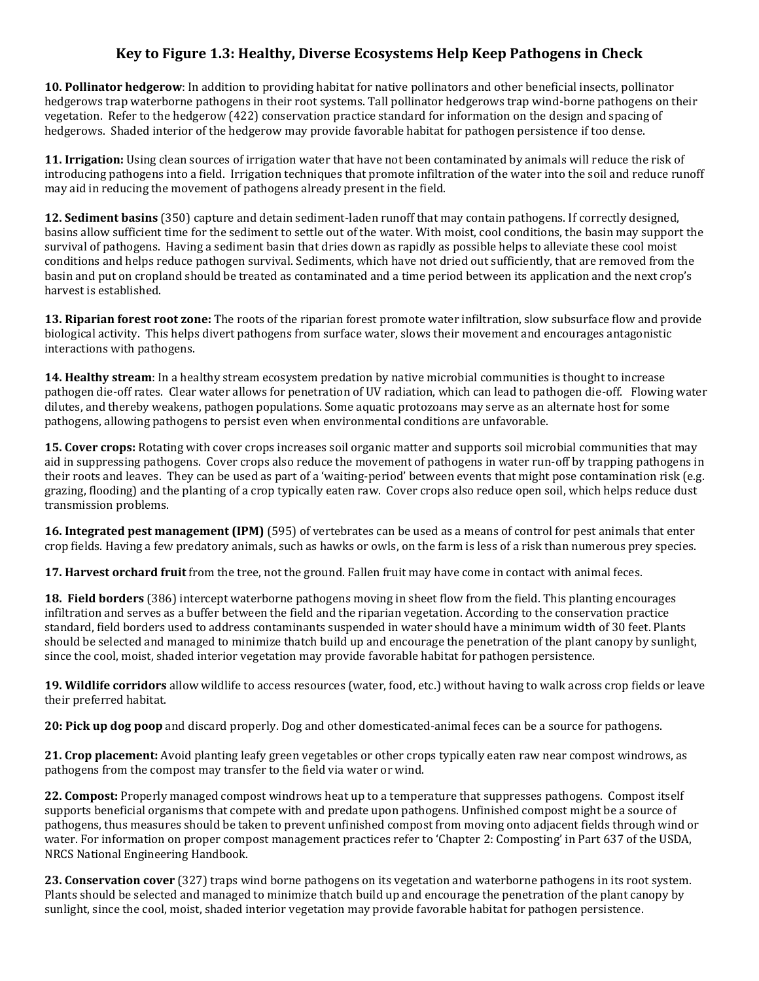## **Key to Figure 1.3: Healthy, Diverse Ecosystems Help Keep Pathogens in Check**

**10. Pollinator hedgerow**: In addition to providing habitat for native pollinators and other beneficial insects, pollinator hedgerows trap waterborne pathogens in their root systems. Tall pollinator hedgerows trap wind-borne pathogens on their vegetation. Refer to the hedgerow (422) conservation practice standard for information on the design and spacing of hedgerows. Shaded interior of the hedgerow may provide favorable habitat for pathogen persistence if too dense.

**11. Irrigation:** Using clean sources of irrigation water that have not been contaminated by animals will reduce the risk of introducing pathogens into a field. Irrigation techniques that promote infiltration of the water into the soil and reduce runoff may aid in reducing the movement of pathogens already present in the field.

**12. Sediment basins** (350) capture and detain sediment-laden runoff that may contain pathogens. If correctly designed, basins allow sufficient time for the sediment to settle out of the water. With moist, cool conditions, the basin may support the survival of pathogens. Having a sediment basin that dries down as rapidly as possible helps to alleviate these cool moist conditions and helps reduce pathogen survival. Sediments, which have not dried out sufficiently, that are removed from the basin and put on cropland should be treated as contaminated and a time period between its application and the next crop's harvest is established.

**13. Riparian forest root zone:** The roots of the riparian forest promote water infiltration, slow subsurface flow and provide biological activity. This helps divert pathogens from surface water, slows their movement and encourages antagonistic interactions with pathogens.

**14. Healthy stream**: In a healthy stream ecosystem predation by native microbial communities is thought to increase pathogen die-off rates. Clear water allows for penetration of UV radiation, which can lead to pathogen die-off. Flowing water dilutes, and thereby weakens, pathogen populations. Some aquatic protozoans may serve as an alternate host for some pathogens, allowing pathogens to persist even when environmental conditions are unfavorable.

**15. Cover crops:** Rotating with cover crops increases soil organic matter and supports soil microbial communities that may aid in suppressing pathogens. Cover crops also reduce the movement of pathogens in water run-off by trapping pathogens in their roots and leaves. They can be used as part of a 'waiting-period' between events that might pose contamination risk (e.g. grazing, flooding) and the planting of a crop typically eaten raw. Cover crops also reduce open soil, which helps reduce dust transmission problems.

**16. Integrated pest management (IPM)** (595) of vertebrates can be used as a means of control for pest animals that enter crop fields. Having a few predatory animals, such as hawks or owls, on the farm is less of a risk than numerous prey species.

**17. Harvest orchard fruit** from the tree, not the ground. Fallen fruit may have come in contact with animal feces.

**18. Field borders** (386) intercept waterborne pathogens moving in sheet flow from the field. This planting encourages infiltration and serves as a buffer between the field and the riparian vegetation. According to the conservation practice standard, field borders used to address contaminants suspended in water should have a minimum width of 30 feet. Plants should be selected and managed to minimize thatch build up and encourage the penetration of the plant canopy by sunlight, since the cool, moist, shaded interior vegetation may provide favorable habitat for pathogen persistence.

**19. Wildlife corridors** allow wildlife to access resources (water, food, etc.) without having to walk across crop fields or leave their preferred habitat.

**20: Pick up dog poop** and discard properly. Dog and other domesticated-animal feces can be a source for pathogens.

**21. Crop placement:** Avoid planting leafy green vegetables or other crops typically eaten raw near compost windrows, as pathogens from the compost may transfer to the field via water or wind.

**22. Compost:** Properly managed compost windrows heat up to a temperature that suppresses pathogens. Compost itself supports beneficial organisms that compete with and predate upon pathogens. Unfinished compost might be a source of pathogens, thus measures should be taken to prevent unfinished compost from moving onto adjacent fields through wind or water. For information on proper compost management practices refer to 'Chapter 2: Composting' in Part 637 of the USDA, NRCS National Engineering Handbook.

**23. Conservation cover** (327) traps wind borne pathogens on its vegetation and waterborne pathogens in its root system. Plants should be selected and managed to minimize thatch build up and encourage the penetration of the plant canopy by sunlight, since the cool, moist, shaded interior vegetation may provide favorable habitat for pathogen persistence.